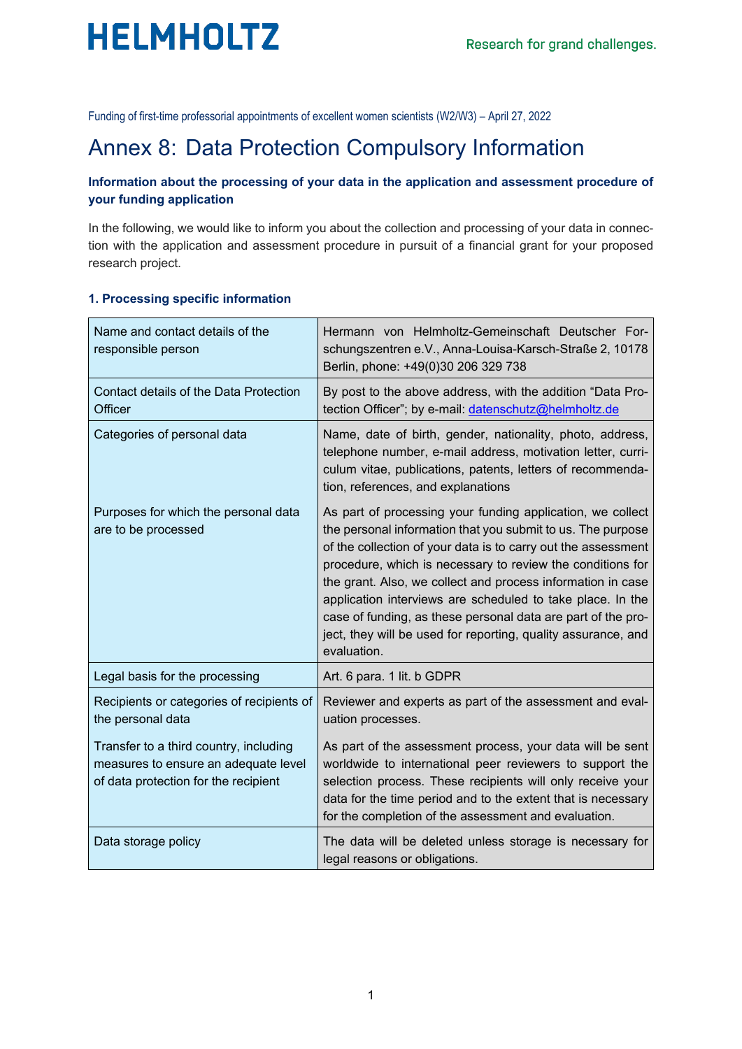

Funding of first-time professorial appointments of excellent women scientists (W2/W3) – April 27, 2022

## Annex 8: Data Protection Compulsory Information

#### **Information about the processing of your data in the application and assessment procedure of your funding application**

In the following, we would like to inform you about the collection and processing of your data in connection with the application and assessment procedure in pursuit of a financial grant for your proposed research project.

#### **1. Processing specific information**

 $\mathbb{R}^2$ 

| Name and contact details of the<br>responsible person                                                                  | Hermann von Helmholtz-Gemeinschaft Deutscher For-<br>schungszentren e.V., Anna-Louisa-Karsch-Straße 2, 10178<br>Berlin, phone: +49(0)30 206 329 738                                                                                                                                                                                                                                                                                                                                                                                   |
|------------------------------------------------------------------------------------------------------------------------|---------------------------------------------------------------------------------------------------------------------------------------------------------------------------------------------------------------------------------------------------------------------------------------------------------------------------------------------------------------------------------------------------------------------------------------------------------------------------------------------------------------------------------------|
| Contact details of the Data Protection<br><b>Officer</b>                                                               | By post to the above address, with the addition "Data Pro-<br>tection Officer"; by e-mail: datenschutz@helmholtz.de                                                                                                                                                                                                                                                                                                                                                                                                                   |
| Categories of personal data                                                                                            | Name, date of birth, gender, nationality, photo, address,<br>telephone number, e-mail address, motivation letter, curri-<br>culum vitae, publications, patents, letters of recommenda-<br>tion, references, and explanations                                                                                                                                                                                                                                                                                                          |
| Purposes for which the personal data<br>are to be processed                                                            | As part of processing your funding application, we collect<br>the personal information that you submit to us. The purpose<br>of the collection of your data is to carry out the assessment<br>procedure, which is necessary to review the conditions for<br>the grant. Also, we collect and process information in case<br>application interviews are scheduled to take place. In the<br>case of funding, as these personal data are part of the pro-<br>ject, they will be used for reporting, quality assurance, and<br>evaluation. |
| Legal basis for the processing                                                                                         | Art. 6 para. 1 lit. b GDPR                                                                                                                                                                                                                                                                                                                                                                                                                                                                                                            |
| Recipients or categories of recipients of<br>the personal data                                                         | Reviewer and experts as part of the assessment and eval-<br>uation processes.                                                                                                                                                                                                                                                                                                                                                                                                                                                         |
| Transfer to a third country, including<br>measures to ensure an adequate level<br>of data protection for the recipient | As part of the assessment process, your data will be sent<br>worldwide to international peer reviewers to support the<br>selection process. These recipients will only receive your<br>data for the time period and to the extent that is necessary<br>for the completion of the assessment and evaluation.                                                                                                                                                                                                                           |
| Data storage policy                                                                                                    | The data will be deleted unless storage is necessary for<br>legal reasons or obligations.                                                                                                                                                                                                                                                                                                                                                                                                                                             |